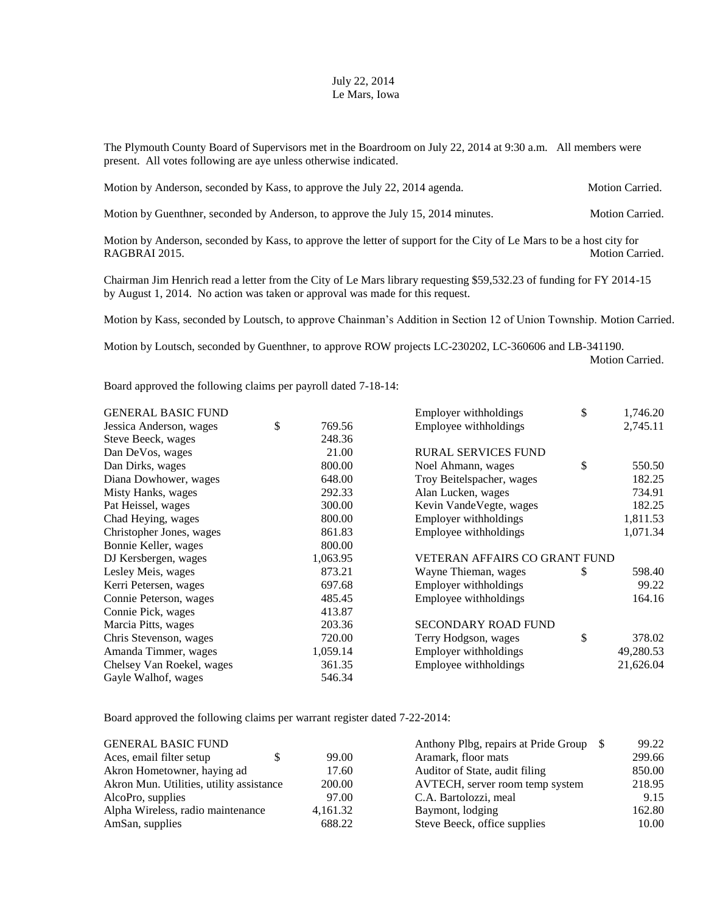## July 22, 2014 Le Mars, Iowa

The Plymouth County Board of Supervisors met in the Boardroom on July 22, 2014 at 9:30 a.m. All members were present. All votes following are aye unless otherwise indicated.

Motion by Anderson, seconded by Kass, to approve the July 22, 2014 agenda. Motion Carried.

Motion by Guenthner, seconded by Anderson, to approve the July 15, 2014 minutes. Motion Carried.

Motion by Anderson, seconded by Kass, to approve the letter of support for the City of Le Mars to be a host city for RAGBRAI 2015. Motion Carried.

Chairman Jim Henrich read a letter from the City of Le Mars library requesting \$59,532.23 of funding for FY 2014-15 by August 1, 2014. No action was taken or approval was made for this request.

Motion by Kass, seconded by Loutsch, to approve Chainman's Addition in Section 12 of Union Township. Motion Carried.

Motion by Loutsch, seconded by Guenthner, to approve ROW projects LC-230202, LC-360606 and LB-341190. Motion Carried.

Board approved the following claims per payroll dated 7-18-14:

| <b>GENERAL BASIC FUND</b> |              | Employer withholdings                | \$ | 1,746.20  |
|---------------------------|--------------|--------------------------------------|----|-----------|
| Jessica Anderson, wages   | \$<br>769.56 | Employee withholdings                |    | 2,745.11  |
| Steve Beeck, wages        | 248.36       |                                      |    |           |
| Dan DeVos, wages          | 21.00        | <b>RURAL SERVICES FUND</b>           |    |           |
| Dan Dirks, wages          | 800.00       | Noel Ahmann, wages                   | \$ | 550.50    |
| Diana Dowhower, wages     | 648.00       | Troy Beitelspacher, wages            |    | 182.25    |
| Misty Hanks, wages        | 292.33       | Alan Lucken, wages                   |    | 734.91    |
| Pat Heissel, wages        | 300.00       | Kevin VandeVegte, wages              |    | 182.25    |
| Chad Heying, wages        | 800.00       | Employer withholdings                |    | 1,811.53  |
| Christopher Jones, wages  | 861.83       | Employee withholdings                |    | 1,071.34  |
| Bonnie Keller, wages      | 800.00       |                                      |    |           |
| DJ Kersbergen, wages      | 1,063.95     | <b>VETERAN AFFAIRS CO GRANT FUND</b> |    |           |
| Lesley Meis, wages        | 873.21       | Wayne Thieman, wages                 | \$ | 598.40    |
| Kerri Petersen, wages     | 697.68       | Employer withholdings                |    | 99.22     |
| Connie Peterson, wages    | 485.45       | Employee withholdings                |    | 164.16    |
| Connie Pick, wages        | 413.87       |                                      |    |           |
| Marcia Pitts, wages       | 203.36       | <b>SECONDARY ROAD FUND</b>           |    |           |
| Chris Stevenson, wages    | 720.00       | Terry Hodgson, wages                 | \$ | 378.02    |
| Amanda Timmer, wages      | 1,059.14     | Employer withholdings                |    | 49,280.53 |
| Chelsey Van Roekel, wages | 361.35       | Employee withholdings                |    | 21,626.04 |
| Gayle Walhof, wages       | 546.34       |                                      |    |           |

Board approved the following claims per warrant register dated 7-22-2014:

| <b>GENERAL BASIC FUND</b>                |  |          | Anthony Plbg, repairs at Pride Group \$ |  | 99.22  |
|------------------------------------------|--|----------|-----------------------------------------|--|--------|
| Aces, email filter setup                 |  | 99.00    | Aramark, floor mats                     |  | 299.66 |
| Akron Hometowner, haying ad              |  | 17.60    | Auditor of State, audit filing          |  | 850.00 |
| Akron Mun. Utilities, utility assistance |  | 200.00   | AVTECH, server room temp system         |  | 218.95 |
| AlcoPro, supplies                        |  | 97.00    | C.A. Bartolozzi, meal                   |  | 9.15   |
| Alpha Wireless, radio maintenance        |  | 4,161.32 | Baymont, lodging                        |  | 162.80 |
| AmSan, supplies                          |  | 688.22   | Steve Beeck, office supplies            |  | 10.00  |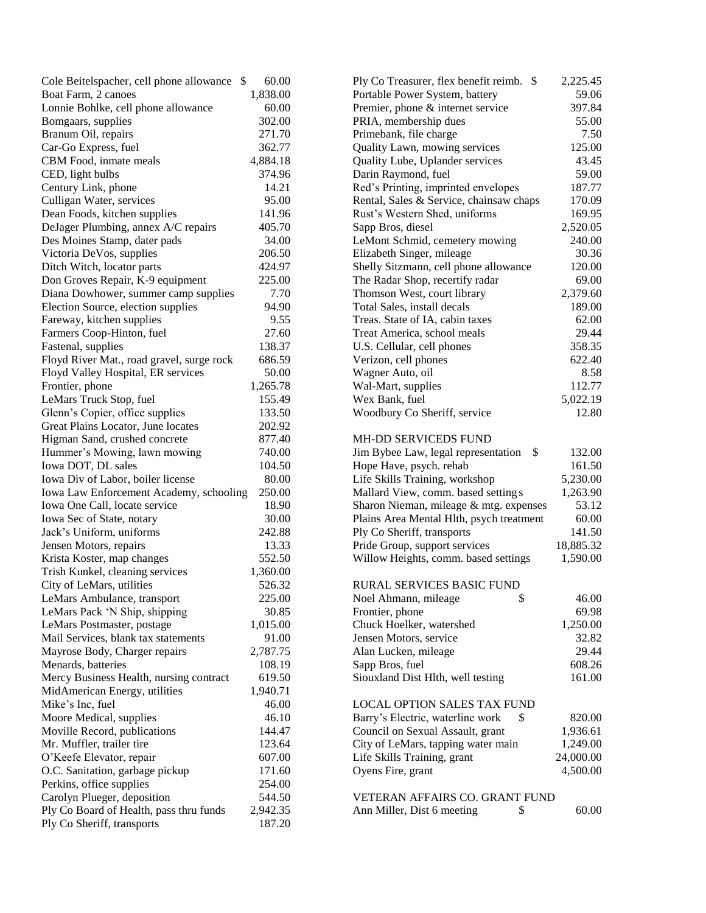| Cole Beitelspacher, cell phone allowance \$ | 60.00    | Ply Co Treasurer, flex benefit reimb. \$ | 2,225.45  |
|---------------------------------------------|----------|------------------------------------------|-----------|
| Boat Farm, 2 canoes                         | 1,838.00 | Portable Power System, battery           | 59.06     |
| Lonnie Bohlke, cell phone allowance         | 60.00    | Premier, phone & internet service        | 397.84    |
| Bomgaars, supplies                          | 302.00   | PRIA, membership dues                    | 55.00     |
| Branum Oil, repairs                         | 271.70   | Primebank, file charge                   | 7.50      |
| Car-Go Express, fuel                        | 362.77   | Quality Lawn, mowing services            | 125.00    |
| CBM Food, inmate meals                      | 4,884.18 | Quality Lube, Uplander services          | 43.45     |
| CED, light bulbs                            | 374.96   | Darin Raymond, fuel                      | 59.00     |
| Century Link, phone                         | 14.21    | Red's Printing, imprinted envelopes      | 187.77    |
| Culligan Water, services                    | 95.00    | Rental, Sales & Service, chainsaw chaps  | 170.09    |
| Dean Foods, kitchen supplies                | 141.96   | Rust's Western Shed, uniforms            | 169.95    |
| DeJager Plumbing, annex A/C repairs         | 405.70   | Sapp Bros, diesel                        | 2,520.05  |
| Des Moines Stamp, dater pads                | 34.00    | LeMont Schmid, cemetery mowing           | 240.00    |
| Victoria DeVos, supplies                    | 206.50   | Elizabeth Singer, mileage                | 30.36     |
| Ditch Witch, locator parts                  | 424.97   | Shelly Sitzmann, cell phone allowance    | 120.00    |
| Don Groves Repair, K-9 equipment            | 225.00   | The Radar Shop, recertify radar          | 69.00     |
| Diana Dowhower, summer camp supplies        | 7.70     | Thomson West, court library              | 2,379.60  |
| Election Source, election supplies          | 94.90    | Total Sales, install decals              | 189.00    |
| Fareway, kitchen supplies                   | 9.55     | Treas. State of IA, cabin taxes          | 62.00     |
| Farmers Coop-Hinton, fuel                   | 27.60    | Treat America, school meals              | 29.44     |
| Fastenal, supplies                          | 138.37   | U.S. Cellular, cell phones               | 358.35    |
| Floyd River Mat., road gravel, surge rock   | 686.59   | Verizon, cell phones                     | 622.40    |
| Floyd Valley Hospital, ER services          | 50.00    | Wagner Auto, oil                         | 8.58      |
| Frontier, phone                             | 1,265.78 | Wal-Mart, supplies                       | 112.77    |
| LeMars Truck Stop, fuel                     | 155.49   | Wex Bank, fuel                           | 5,022.19  |
| Glenn's Copier, office supplies             | 133.50   | Woodbury Co Sheriff, service             | 12.80     |
| Great Plains Locator, June locates          | 202.92   |                                          |           |
| Higman Sand, crushed concrete               | 877.40   | <b>MH-DD SERVICEDS FUND</b>              |           |
| Hummer's Mowing, lawn mowing                | 740.00   | Jim Bybee Law, legal representation \$   | 132.00    |
| Iowa DOT, DL sales                          | 104.50   | Hope Have, psych. rehab                  | 161.50    |
| Iowa Div of Labor, boiler license           | 80.00    | Life Skills Training, workshop           | 5,230.00  |
| Iowa Law Enforcement Academy, schooling     | 250.00   | Mallard View, comm. based setting s      | 1,263.90  |
| Iowa One Call, locate service               | 18.90    | Sharon Nieman, mileage & mtg. expenses   | 53.12     |
| Iowa Sec of State, notary                   | 30.00    | Plains Area Mental Hlth, psych treatment | 60.00     |
| Jack's Uniform, uniforms                    | 242.88   | Ply Co Sheriff, transports               | 141.50    |
| Jensen Motors, repairs                      | 13.33    | Pride Group, support services            | 18,885.32 |
| Krista Koster, map changes                  | 552.50   | Willow Heights, comm. based settings     | 1,590.00  |
| Trish Kunkel, cleaning services             | 1,360.00 |                                          |           |
| City of LeMars, utilities                   | 526.32   | RURAL SERVICES BASIC FUND                |           |
| LeMars Ambulance, transport                 | 225.00   | \$<br>Noel Ahmann, mileage               | 46.00     |
| LeMars Pack 'N Ship, shipping               | 30.85    | Frontier, phone                          | 69.98     |
| LeMars Postmaster, postage                  | 1,015.00 | Chuck Hoelker, watershed                 | 1,250.00  |
| Mail Services, blank tax statements         | 91.00    | Jensen Motors, service                   | 32.82     |
| Mayrose Body, Charger repairs               | 2,787.75 | Alan Lucken, mileage                     | 29.44     |
| Menards, batteries                          | 108.19   | Sapp Bros, fuel                          | 608.26    |
| Mercy Business Health, nursing contract     | 619.50   | Siouxland Dist Hlth, well testing        | 161.00    |
| MidAmerican Energy, utilities               | 1,940.71 |                                          |           |
| Mike's Inc, fuel                            | 46.00    | <b>LOCAL OPTION SALES TAX FUND</b>       |           |
| Moore Medical, supplies                     | 46.10    | Barry's Electric, waterline work<br>\$   | 820.00    |
| Moville Record, publications                | 144.47   | Council on Sexual Assault, grant         | 1,936.61  |
| Mr. Muffler, trailer tire                   | 123.64   | City of LeMars, tapping water main       | 1,249.00  |
| O'Keefe Elevator, repair                    | 607.00   | Life Skills Training, grant              | 24,000.00 |
| O.C. Sanitation, garbage pickup             | 171.60   | Oyens Fire, grant                        | 4,500.00  |
| Perkins, office supplies                    | 254.00   |                                          |           |
| Carolyn Plueger, deposition                 | 544.50   | VETERAN AFFAIRS CO. GRANT FUND           |           |
| Ply Co Board of Health, pass thru funds     | 2,942.35 | Ann Miller, Dist 6 meeting<br>\$         | 60.00     |
| Ply Co Sheriff, transports                  | 187.20   |                                          |           |

| Ply Co Treasurer, flex benefit reimb.<br>-\$                       | 2,225.45  |
|--------------------------------------------------------------------|-----------|
| Portable Power System, battery                                     | 59.06     |
| Premier, phone & internet service                                  | 397.84    |
| PRIA, membership dues                                              | 55.00     |
| Primebank, file charge                                             | 7.50      |
| Quality Lawn, mowing services                                      | 125.00    |
| Quality Lube, Uplander services                                    | 43.45     |
| Darin Raymond, fuel                                                | 59.00     |
| Red's Printing, imprinted envelopes                                | 187.77    |
|                                                                    |           |
| Rental, Sales & Service, chainsaw chaps                            | 170.09    |
| Rust's Western Shed, uniforms                                      | 169.95    |
| Sapp Bros, diesel                                                  | 2,520.05  |
| LeMont Schmid, cemetery mowing                                     | 240.00    |
| Elizabeth Singer, mileage                                          | 30.36     |
| Shelly Sitzmann, cell phone allowance                              | 120.00    |
| The Radar Shop, recertify radar                                    | 69.00     |
| Thomson West, court library                                        | 2,379.60  |
| Total Sales, install decals                                        | 189.00    |
| Treas. State of IA, cabin taxes                                    | 62.00     |
| Treat America, school meals                                        | 29.44     |
| U.S. Cellular, cell phones                                         | 358.35    |
| Verizon, cell phones                                               | 622.40    |
| Wagner Auto, oil                                                   | 8.58      |
| Wal-Mart, supplies                                                 | 112.77    |
| Wex Bank, fuel                                                     | 5,022.19  |
| Woodbury Co Sheriff, service                                       | 12.80     |
| MH-DD SERVICEDS FUND                                               |           |
| Jim Bybee Law, legal representation<br>\$                          | 132.00    |
| Hope Have, psych. rehab                                            | 161.50    |
| Life Skills Training, workshop                                     | 5,230.00  |
| Mallard View, comm. based settings                                 | 1,263.90  |
| Sharon Nieman, mileage & mtg. expenses                             | 53.12     |
| Plains Area Mental Hlth, psych treatment                           | 60.00     |
| Ply Co Sheriff, transports                                         | 141.50    |
| Pride Group, support services                                      | 18,885.32 |
| Willow Heights, comm. based settings                               | 1,590.00  |
|                                                                    |           |
| RURAL SERVICES BASIC FUND                                          |           |
| Noel Ahmann, mileage<br>\$                                         | 46.00     |
| Frontier, phone                                                    | 69.98     |
| Chuck Hoelker, watershed                                           | 1,250.00  |
| Jensen Motors, service                                             | 32.82     |
| Alan Lucken, mileage                                               | 29.44     |
| Sapp Bros, fuel                                                    | 608.26    |
| Siouxland Dist Hlth, well testing                                  | 161.00    |
| <b>LOCAL OPTION SALES TAX FUND</b>                                 |           |
| Barry's Electric, waterline work<br>S                              | 820.00    |
| Council on Sexual Assault, grant                                   | 1,936.61  |
| City of LeMars, tapping water main                                 | 1,249.00  |
| Life Skills Training, grant                                        | 24,000.00 |
| Oyens Fire, grant                                                  | 4,500.00  |
|                                                                    |           |
| VETERAN AFFAIRS CO. GRANT FUND<br>Ann Miller, Dist 6 meeting<br>\$ | 60.00     |
|                                                                    |           |